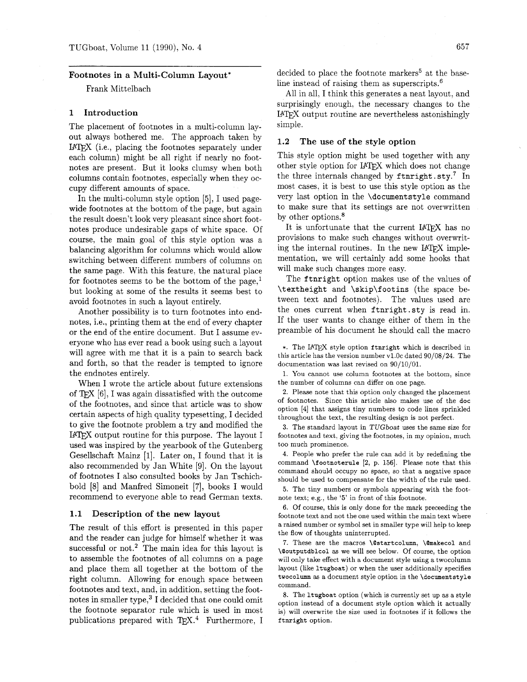# **Footnotes in a Multi-Column Layout\***

Frank Mittelbach

### **1 Introduction**

The placement of footnotes in a multi-column layout always bothered me. The approach taken by IATFX (i.e., placing the footnotes separately under each column) might be all right if nearly no footnotes are present. But it looks clumsy when both columns contain footnotes, especially when they occupy different amounts of space.

In the multi-column style option [5], I used pagewide footnotes at the bottom of the page, but again the result doesn't look very pleasant since short footnotes produce undesirable gaps of white space. Of course, the main goal of this style option was a balancing algorithm for columns which would allow switching between different numbers of columns on the same page. With this feature, the natural place for footnotes seems to be the bottom of the page, $<sup>1</sup>$ </sup> but looking at some of the results it seems best to avoid footnotes in such a layout entirely.

Another possibility is to turn footnotes into endnotes, i.e., printing them at the end of every chapter or the end of the entire document. But I assume everyone who has ever read a book using such a layout will agree with me that it is a pain to search back and forth, so that the reader is tempted to ignore the endnotes entirely.

When I wrote the article about future extensions of  $T_{E}X$  [6], I was again dissatisfied with the outcome of the footnotes, and since that article was to show certain aspects of high quality typesetting, I decided to give the footnote problem a try and modified the IATEX output routine for this purpose. The layout I used was inspired by the yearbook of the Gutenberg Gesellschaft Mainz [I]. Later on, I found that it is also recommended by Jan White [9]. On the layout of footnotes I also consulted books by Jan Tschichbold [8] and Manfred Simoneit [7], books I would recommend to everyone able to read German texts.

### **1.1 Description of the new layout**

The result of this effort is presented in this paper and the reader can judge for himself whether it was successful or not.<sup>2</sup> The main idea for this layout is to assemble the footnotes of all columns on a page and place them all together at the bottom of the right column. Allowing for enough space between footnotes and text, and, in addition, setting the footnotes in smaller type,<sup>3</sup> I decided that one could omit the footnote separator rule which is used in most publications prepared with TEX.<sup>4</sup> Furthermore, I decided to place the footnote markers<sup>5</sup> at the baseline instead of raising them as superscripts. $^{6}$ 

All in all, I think this generates a neat layout, and surprisingly enough, the necessary changes to the L<sup>I</sup>FX output routine are nevertheless astonishingly simple.

# **1.2 The use of the style option**

This style option might be used together with any other style option for IAT<sub>F</sub>X which does not change the three internals changed by **f tnright** . **sty.7** In most cases, it is best to use this style option as the very last option in the **\documentstyle** command to make sure that its settings are not overwritten by other options.<sup>8</sup>

It is unfortunate that the current **I4TFX** has no provisions to make such changes without overwrit-<br>ing the internal routines. In the new I4T<sub>E</sub>X implementation. we will certainly add some hooks that will make such changes more easy.

The **ftnright** option makes use of the values of **\textheight** and **\skip\footins** (the space between text and footnotes). The values used are the ones current when **ftnright.sty** is read in. If the user wants to change either of them in the preamble of his document he should call the macro

\*. The UTEX style option **ftnright** which is described in this article has the version number vl.Oc dated 90/08/24. The documentation was last revised on 90/10/01.

**1.** You cannot use column footnotes at the bottom, since the number of columns can differ on one page.

**2.** Please note that this option only changed the placement of footnotes. Since this article also makes use of the **doc**  option [4] that assigns tiny numbers to code lines sprinkled throughout the text, the resulting design is not perfect.

**3.** The standard layout in TUGboat uses the same size for footnotes and text, giving the footnotes, in my opinion, much too much prominence.

4. People who prefer the rule can add it by redefining the command **\footnoterule** [2, p. 156]. Please note that this command should occupy no space, so that a negative space should be used to compensate for the width of the rule used.

5. The tiny numbers or symbols appearing with the footnote text; e.g., the '5' in front of this footnote.

**6.** Of course, this is only done for the mark preceeding the footnote text and not the one used within the main text where a raised number or symbol set in smaller type will help to keep the flow of thoughts uninterrupted.

7. These are the macros **\@startcolumn, \@rnakecol** and **\@outputdblcol** as we will see below. Of course, the option will only take effect with a document style using a twocolumn layout (like **ltugboat)** or when the user additionally specifies **twocolumn** as a document style option in the **\documentstyle**  command.

8. The **ltugboat** option (which is currently set up as a style option instead of a document style option which it actually is) will overwrite the size used in footnotes if it follows the **ftnright** option.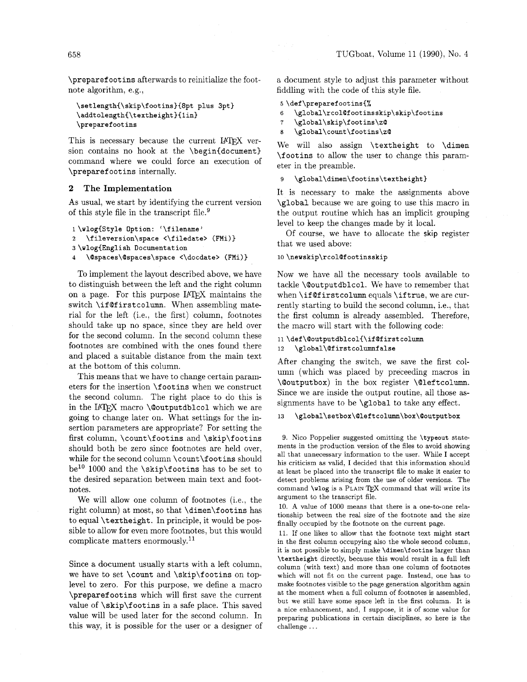**\preparef ootins** afterwards to reinitialize the footnote algorithm, e.g.,

```
\setlength{\skip\footins}{8pt plus 3pt}
\addtolength(\textheight){lin) 
\preccurlyeq \preccurlyeq
```
This is necessary because the current **I4TFX** version contains no hook at the **\begin(document)**  command where we could force an execution of **\preparef oot ins** internally.

## **2 The Implementation**

As usual, we start by identifying the current version of this style file in the transcript file.<sup>9</sup>

```
1 \wlog{Style Option: '\filename' 
2\f ileversion\space <\f iledate> (FMi) ) 
3 \wlog<English Documentation 
4 \@spaces\@spaces\space <\docdate> (FMi)}
```
To implement the layout described above, we have to distinguish between the left and the right column on a page. For this purpose IATEX maintains the switch **\if Qf irstcolumn.** When assembling material for the left (i.e., the first) column, footnotes should take up no space, since they are held over for the second column. In the second column these footnotes are combined with the ones found there and placed a suitable distance from the main text at the bottom of this column.

This means that we have to change certain parameters for the insertion **\footins** when we construct the second column. The right place to do this is in the IATFX macro **\@outputdblcol** which we are going to change later on. What settings for the insertion parameters are appropriate? For setting the first column, **\count\f ootins** and **\skip\footins**  should both be zero since footnotes are held over. while for the second column **\count\f ootins** should be1' 1000 and the **\skip\footins** has to be set to the desired separation between main text and footnotes.

We will allow one column of footnotes (i.e., the right column) at most, so that **\dimen\f ootins** has to equal **\t extheight** . In principle, it would be possible to allow for even more footnotes, but this would complicate matters enormously.11

Since a document usually starts with a left column, we have to set **\count** and **\skip\footins** on toplevel to zero. For this purpose. we define a macro **\preparefootins** which will first save the current value of **\skip\footins** in a safe place. This saved value will be used later for the second column. In this way, it is possible for the user or a designer of a document style to adjust this parameter without fiddling with the code of this style file.

### 5\def\preparefootins{%

- 6 **\global\rcolQfootinsskip\skip\footins**
- **7** \global\skip\footins\z@
- 8 \global\count\f ootins\z@

We will also assign **\textheight** to **\dimen \f ootins** to allow the user to change this parameter in the preamble.

### \global\dimen\footins\textheight} 9

It is necessary to make the assignments above **\global** because we are going to use this macro in the output routine which has an implicit grouping level to keep the changes made by it local.

Of course, we have to allocate the **skip** register that we used above:

### 10 \newskip\rcol@footinsskip

Now we have all the necessary tools available to tackle **\Qoutputdblcol.** We have to remember that when **\if Qf irstcolumn** equals **\if true,** we are currently starting to build the second column, i.e., that the first column is already assembled. Therefore, the macro will start with the following code:

```
11 \def\@outputdblcol{\if@firstcolumn
12\,\global\@firstcolumnfalse
```
After changing the switch, we save the first column (which was placed by preceeding macros in **\Qoutputbox)** in the box register **\Qleftcolumn.**  Since we are inside the output routine, all those assignments have to be **\global** to take any effect.

#### 13 \global\setbox\@leftcolumn\box\@outputbox

9. Nico Poppelier suggested omitting the **\typeout** statements in the production version of the files to avoid showing all that unnecessary information to the user. While I accept his criticism as valid, I decided that this information should at least be placed into the transcript file to make it easier to detect problems arising from the use of older versions. The command **\wlog** is a **PLAIN** TEX command that will write its argument to the transcript file.

10. **A** value of 1000 means that there is a one-to-one relationship between the real size of the footnote and the size finally occupied by the footnote on the current page.

11. If one likes to allow that the footnote text might start in the first column occupying also the whole second column, it is not possible to simply make **\dimen\footins** larger than **\textheight** directly, because this would result in a full left column (with text) and more than one column of footnotes which will not fit on the current page. Instead, one has to make footnotes visible to the page generation algorithm again at the moment when a full column of footnotes is assembled, but we still have some space left in the first column. It is a nice enhancement, and, I suppose, it is of some value for preparing publications in certain disciplines, so here is the challenge . . .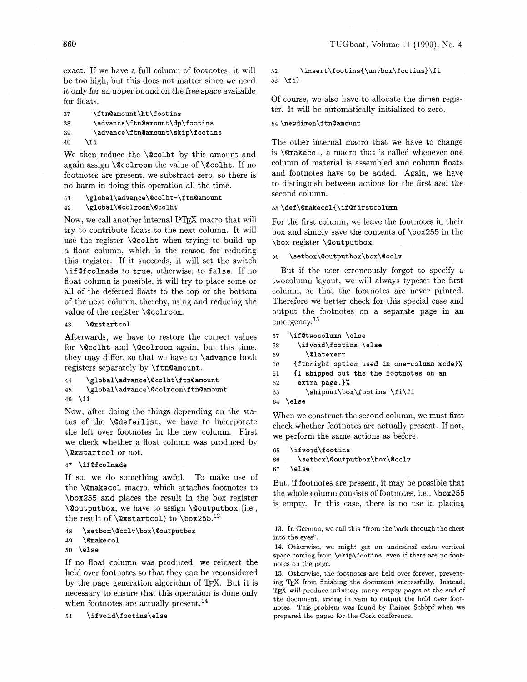exact. If we have a full column of footnotes, it will be too high, but this does not matter since we need it only for an upper bound on the free space available for floats.

```
37
        \ftn@amount\ht\footins
38
        \advance\ftn@amount\dp\footins
39
        \advance\ftn@amount\skip\footins
     \fi
40
```
We then reduce the **\@colht** by this amount and again assign \Qcolroom the value of \Qcolht. If no footnotes are present, we substract zero, so there is no harm in doing this operation all the time.

### \global\advance\@colht-\ftn@amount 41

 $42 \ \text{global}\@color{red}{\text{col}$  Now, we call another internal IATFX macro that will try to contribute floats to the next column. It will use the register **\@colht** when trying to build up a float column, which is the reason for reducing this register. If it succeeds, it will set the switch \if Of colmade to true, otherwise, to false. If no float column is possible, it will try to place some or all of the deferred floats to the top or the bottom of the next column, thereby, using and reducing the value of the register \@colroom.

*\@xstartcol* 43

Afterwards, we have to restore the correct values for  $\Q$ colht and  $\Q$ colroom again, but this time, they may differ, so that we have to \advance both registers separately by **\ftn@amount**.

```
\global\advance\@colht\ftn@amount
44\global\advance\@colroom\ftn@amount
45
46 \fi
```
Now, after doing the things depending on the status of the \Qdeferlist, we have to incorporate the left over footnotes in the new column. First we check whether a float column was produced by \Qxstartcol or not.

```
47 \if Of colmade
```
If so, we do something awful. To make use of the \@makecol macro, which attaches footnotes to \box255 and places the result in the box register \@outputbox, we have to assign \@outputbox (i.e., the result of  $\Qxstar{col}$  to  $\boxtimes 255.^{13}$ 

\setbox\@cclv\box\@outputbox 48

```
\@makecol
49
```
50 \else

If no float column was produced, we reinsert the held over footnotes so that they can be reconsidered by the page generation algorithm of TEX. But it is necessary to ensure that this operation is done only when footnotes are actually present.<sup>14</sup>

\ifvoid\footins\else  $51$ 

### $\bf{52}$ \insert\footins{\unvbox\footins}\fi 53  $\{f_i\}$

Of course, we also have to allocate the dimen register. It will be automatically initialized to zero.

## 54 \newdimen\ftn@amount

The other internal macro that we have to change is \@makecol, a macro that is called whenever one column of material is assembled and column floats and footnotes have to be added. Again, we have to distinguish between actions for the first and the second column.

# 55 \def\@makecol{\if@firstcolumn

For the first column. we leave the footnotes in their box and simply save the contents of \box255 in the \box register \Qoutputbox.

### \setbox\@outputbox\box\@cclv 56

But if the user erroneously forgot to specify a twocolumn layout. we will always typeset the first column. so that the footnotes are never printed. Therefore we better check for this special case and output the footnotes on a separate page in an emergency.<sup>15</sup>

```
57\,\ifOtwocolumn \else 
58
      \ifvoid\footins \else 
         \Olatexerr 
59
60
     {ftnright option used in one-column mode)% 
61
     {I shipped out the the footnotes on an 
62
      extra page. 1% 
         \shipout\box\footins \fi\fi 
63
\else
```
When we construct the second column, we must first check whether footnotes are actually present. If not, we perform the same actions as before.

```
\ifvoid\footins
65
      \setbox\@outputbox\box\@cclv
66
    \else
67
```
But, if footnotes are present, it may be possible that the whole column consists of footnotes, i.e., \box255 is empty. In this case, there is no use in placing

13. In German, we call this "from the back through the chest into the eyes".

14. Otherwise, we might get an undesired extra vertical space coming from **\skip\footins,** even if there are no footnotes on the page.

15. Otherwise, the footnotes are held over forever, preventing TEX from finishing the document successfully. Instead, TEX will produce infinitely many empty pages at the end of the document, trying in vain to output the held over footnotes. This problem was found by Rainer Schopf when we prepared the paper for the Cork conference.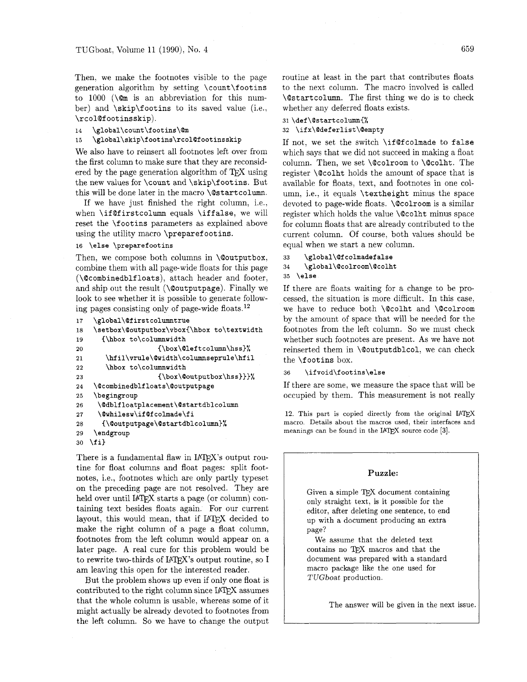Then, we make the footnotes visible to the page generation algorithm by setting **\count\f oot ins**  to  $1000$  (\cm is an abbreviation for this number) and **\skip\footins** to its saved value (i.e., **\rcol@f ootinsskip).** 

```
14 \global\count\footins\@m
```

```
15 \global\skip\footins\rcol@footinsskip
```
We also have to reinsert all footnotes left over from the first column to make sure that they are reconsidered by the page generation algorithm of  $T_F X$  using the new values for **\count** and **\skip\f ootins.** But this will be done later in the macro **\@start column.** 

If we have just finished the right column, i.e., when **\if Qf irstcolumn** equals **\iff alse,** we will reset the **\footins** parameters as explained above using the utility macro **\preparef ootins.** 

### 16 **\else \preparef ootins**

Then, we compose both columns in **\@outputbox,**  combine them with all page-wide floats for this page **(\Qcombinedblfloats),** attach header and footer. and ship out the result **(\@outputpage).** Finally we look to see whether it is possible to generate following pages consisting only of page-wide floats.12

```
\global\@firstcolumntrue
17
```

```
\setbox\@outputbox\vbox{\hbox to\textwidth
18
19
      {\hbox to\columnwidth
                     {\box\@leftcolumn\hss}%
20
       \hfil\vrule\@width\columnseprule\hfil
2122
       \hbox to\columnwidth
23
                     {\box\@outputbox\hss}}}%
24
    \@combinedblfloats\@outputpage
25
    \begingroup
     \@dblfloatplacement\@startdblcolumn
26
27
     \@whilesw\if@fcolmade\fi
      {\@outputpage\@startdblcolumn}%
28
29
    \endgroup
   \{f_i\}30
```
There is a fundamental flaw in  $IATEX$ 's output routine for float columns and float pages: split footnotes, i.e., footnotes which are only partly typeset on the preceding page are not resolved. They are held over until IATEX starts a page (or column) containing text besides floats again. For our current layout, this would mean, that if IATEX decided to make the right column of a page a float column, footnotes from the left column would appear on a later page. A real cure for this problem would be to rewrite two-thirds of IATFX's output routine, so I am leaving this open for the interested reader.

But the problem shows up even if only one float is contributed to the right column since IATFX assumes that the whole column is usable, whereas some of it might actually be already devoted to footnotes from the left column. So we have to change the output routine at least in the part that contributes floats to the next column. The macro involved is called **\@startcolumn.** The first thing we do is to check whether any deferred floats exists.

31 \def\@startcolumn{%

```
32 \ifx\@deferlist\@empty
```
If not, we set the switch **\if@fcolmade** to **false**  which says that we did not succeed in making a float column. Then, we set **\Qcolroom** to **\@colht.** The register **\@colht** holds the amount of space that is available for floats, text, and footnotes in one column, i.e., it equals **\textheight** minus the space devoted to page-wide floats. **\@colroom** is a similar register which holds the value **\@colht** minus space for column floats that are already contributed to the current column. Of course, both values should be equal when we start a new column.

```
33
      \global\@fcolmadefalse
34\phantom{.}\global\@colroom\@colht
35 \else
```
If there are floats waiting for a change to be processed, the situation is more difficult. In this case, we have to reduce both **\@colht** and **\Qcolroom**  by the amount of space that will be needed for the footnotes from the left column. So we must check whether such footnotes are present. As we have not reinserted them in **\@outputdblcol,** we can check the **\f ootins** box.

```
36 \if void\f ootins\else
```
If there are some, we measure the space that will be occupied by them. This measurement is not really

12. This part is copied directly from the original IATEX macro. Details about the macros used, their interfaces and meanings can be found in the IAT<sub>E</sub>X source code [3].

### **Puzzle:**

Given a simple TEX document containing only straight text, is it possible for the editor, after deleting one sentence, to end up with a document producing an extra page?

We assume that the deleted text contains no TEX macros and that the document was prepared with a standard macro package like the one used for *TUGboat* production.

The answer will be given in the next issue.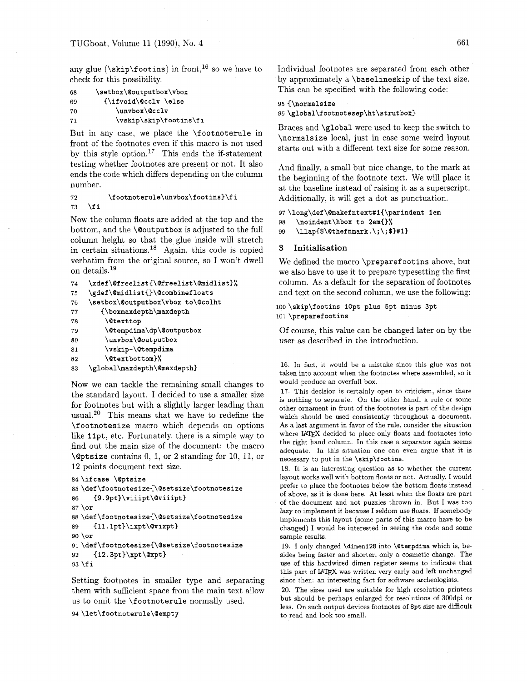check for this possibility. by approximately a \baselineskip of the text size.

```
69 {\ifvoid\@cclv \else 95 {\normalsize 
7 1 \vskip\skip\footins\fi
```
testing whether footnotes are present or not. It also ends the code which differs depending on the column number.

 $72$ \footnoterule\unvbox\footins}\fi \fi 73

Now the column floats are added at the top and the bottom, and the \@outputbox is adjusted to the full column height so that the glue inside will stretch in certain situations.<sup>18</sup> Again, this code is copied verbatim from the original source, so I won't dwell on details.<sup>19</sup>

```
74\xdef\@freelist{\@freelist\@midlist}%
    \gdef\@midlist{}\@combinefloats
\bf 7576
    \setbox\@outputbox\vbox to\@colht
        {\boxmaxdepth\maxdepth
7778
         <u>Otexttop</u>
79
         \@tempdima\dp\@outputbox
         \unvbox\@outputbox
80
         \vskip-\@tempdima
81
82
         \@textbottom}%
    \global\maxdepth\@maxdepth}
83
```
Now we can tackle the remaining small changes to the standard layout. I decided to use a smaller size for footnotes but with a slightly larger leading than usual.20 This means that we have to redefine the \f ootnotesize macro which depends on options like 11pt, etc. Fortunately, there is a simple way to find out the main size of the document: the macro \aptsize contains 0, 1, or **2** standing for 10, 11, or 12 points document text size.

```
84 \ifcase \@ptsize
85 \def\footnotesize{\@setsize\footnotesize
     {9.9pt}\viiipt\@viiipt}
86
87 \text{ or}88 \def\footnotesize{\@setsize\footnotesize
     {11.1pt}\i{xpt}\@vixpt89
90 \or
91 \def\footnotesize{\@setsize\footnotesize
92
     {12.3pt}\xpt\@xpt}93 \fi
```
Setting footnotes in smaller type and separating them with sufficient space from the main text allow us to omit the \footnoterule normally used.

```
94 \let\footnoterule\@empty
```
any glue (\skip\footins) in front.<sup>16</sup> so we have to Individual footnotes are separated from each other 68 **\setbox\@outputbox\vbox** This can be specified with the following code:

```
70 \unvbox\@cclv 96 \global\footnotesep\ht\strutbox)
```
But in any case, we place the *i* footnoterule in  $\Box$  Braces and *\global* were used to keep the switch to front of the footnotes even if this macro is not used by this style option.<sup>17</sup> This ends the if-statement starts

And finally, a small but nice change, to the mark at the beginning of the footnote text. We will place it at the baseline instead of raising it as a superscript. Additionally, it will get a dot as punctuation.

97 **\long\def\@makefntext#l{\parindent lem**  98 **\noindent\hbox to 2em{)%** 

<sup>99</sup>**\llap{\$\@thefnmark.** \ ; \ ; **\$}#1}** 

### **3 Initialisation**

We defined the macro \preparefootins above, but we also have to use it to prepare typesetting the first column. As a default for the separation of footnotes and text on the second column, we use the following:

## loo **\skip\footins lOpt plus 5pt minus 3pt**  101 **\preparef ootins**

Of course, this value can be changed later on by the user as described in the introduction.

16. In fact, it would be a mistake since this glue was not taken into account when the footnotes where assembled, so it would produce an overfull box.

17. This decision is certainly open to criticism, since there is nothing to separate. On the other hand, a rule or some other ornament in front of the footnotes is part of the design which should be used consistently throughout a document. As a last argument in favor of the rule, consider the situation where IATEX decided to place only floats and footnotes into the right hand column. In this case a separator again seems adequate. In this situation one can even argue that it is necessary to put in the **\skip\footins.** 

18. It is an interesting question as to whether the current layout works well with bottom floats or not. Actually, I would prefer to place the footnotes below the bottom floats instead of above, as it is done here. At least when the floats are part of the document and not puzzles thrown in. But I was too lazy to implement it because I seldom use floats. If somebody implements this layout (some parts of this macro have to be changed) I would be interested in seeing the code and some sample results.

19. I only changed **\dimen128** into **\Otempdima** which is, besides being faster and shorter, only a cosmetic change. The use of this hardwired **dimen** register seems to indicate that this part of IATEX was written very early and left unchanged since then: an interesting fact for software archeologists.

20. The sizes used are suitable for high resolution printers but should be perhaps enlarged for resolutions of 300dpi or less. On such output devices footnotes of **8pt** size are difficult to read and look too small.